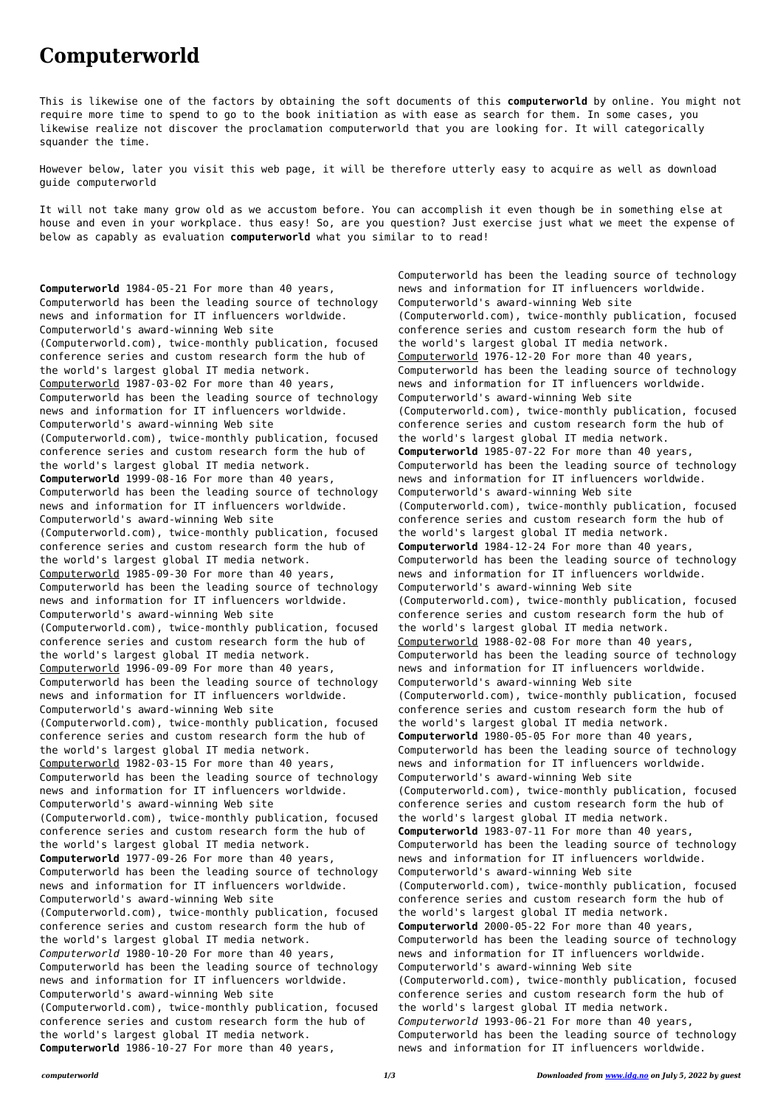## **Computerworld**

This is likewise one of the factors by obtaining the soft documents of this **computerworld** by online. You might not require more time to spend to go to the book initiation as with ease as search for them. In some cases, you likewise realize not discover the proclamation computerworld that you are looking for. It will categorically squander the time.

However below, later you visit this web page, it will be therefore utterly easy to acquire as well as download guide computerworld

It will not take many grow old as we accustom before. You can accomplish it even though be in something else at house and even in your workplace. thus easy! So, are you question? Just exercise just what we meet the expense of below as capably as evaluation **computerworld** what you similar to to read!

**Computerworld** 1984-05-21 For more than 40 years, Computerworld has been the leading source of technology news and information for IT influencers worldwide. Computerworld's award-winning Web site (Computerworld.com), twice-monthly publication, focused conference series and custom research form the hub of the world's largest global IT media network. Computerworld 1987-03-02 For more than 40 years, Computerworld has been the leading source of technology news and information for IT influencers worldwide. Computerworld's award-winning Web site (Computerworld.com), twice-monthly publication, focused conference series and custom research form the hub of the world's largest global IT media network. **Computerworld** 1999-08-16 For more than 40 years, Computerworld has been the leading source of technology news and information for IT influencers worldwide. Computerworld's award-winning Web site (Computerworld.com), twice-monthly publication, focused conference series and custom research form the hub of the world's largest global IT media network. Computerworld 1985-09-30 For more than 40 years, Computerworld has been the leading source of technology news and information for IT influencers worldwide. Computerworld's award-winning Web site (Computerworld.com), twice-monthly publication, focused conference series and custom research form the hub of the world's largest global IT media network. Computerworld 1996-09-09 For more than 40 years, Computerworld has been the leading source of technology news and information for IT influencers worldwide. Computerworld's award-winning Web site (Computerworld.com), twice-monthly publication, focused conference series and custom research form the hub of the world's largest global IT media network. Computerworld 1982-03-15 For more than 40 years, Computerworld has been the leading source of technology news and information for IT influencers worldwide. Computerworld's award-winning Web site (Computerworld.com), twice-monthly publication, focused conference series and custom research form the hub of the world's largest global IT media network. **Computerworld** 1977-09-26 For more than 40 years, Computerworld has been the leading source of technology news and information for IT influencers worldwide. Computerworld's award-winning Web site (Computerworld.com), twice-monthly publication, focused conference series and custom research form the hub of the world's largest global IT media network. *Computerworld* 1980-10-20 For more than 40 years, Computerworld has been the leading source of technology news and information for IT influencers worldwide. Computerworld's award-winning Web site (Computerworld.com), twice-monthly publication, focused conference series and custom research form the hub of the world's largest global IT media network. **Computerworld** 1986-10-27 For more than 40 years,

Computerworld has been the leading source of technology news and information for IT influencers worldwide. Computerworld's award-winning Web site (Computerworld.com), twice-monthly publication, focused conference series and custom research form the hub of the world's largest global IT media network. Computerworld 1976-12-20 For more than 40 years, Computerworld has been the leading source of technology news and information for IT influencers worldwide. Computerworld's award-winning Web site (Computerworld.com), twice-monthly publication, focused conference series and custom research form the hub of the world's largest global IT media network. **Computerworld** 1985-07-22 For more than 40 years, Computerworld has been the leading source of technology news and information for IT influencers worldwide. Computerworld's award-winning Web site (Computerworld.com), twice-monthly publication, focused conference series and custom research form the hub of the world's largest global IT media network. **Computerworld** 1984-12-24 For more than 40 years, Computerworld has been the leading source of technology news and information for IT influencers worldwide. Computerworld's award-winning Web site (Computerworld.com), twice-monthly publication, focused conference series and custom research form the hub of the world's largest global IT media network. Computerworld 1988-02-08 For more than 40 years, Computerworld has been the leading source of technology news and information for IT influencers worldwide. Computerworld's award-winning Web site (Computerworld.com), twice-monthly publication, focused conference series and custom research form the hub of the world's largest global IT media network. **Computerworld** 1980-05-05 For more than 40 years, Computerworld has been the leading source of technology news and information for IT influencers worldwide. Computerworld's award-winning Web site (Computerworld.com), twice-monthly publication, focused conference series and custom research form the hub of the world's largest global IT media network. **Computerworld** 1983-07-11 For more than 40 years, Computerworld has been the leading source of technology news and information for IT influencers worldwide. Computerworld's award-winning Web site (Computerworld.com), twice-monthly publication, focused conference series and custom research form the hub of the world's largest global IT media network. **Computerworld** 2000-05-22 For more than 40 years, Computerworld has been the leading source of technology news and information for IT influencers worldwide. Computerworld's award-winning Web site (Computerworld.com), twice-monthly publication, focused conference series and custom research form the hub of the world's largest global IT media network. *Computerworld* 1993-06-21 For more than 40 years, Computerworld has been the leading source of technology news and information for IT influencers worldwide.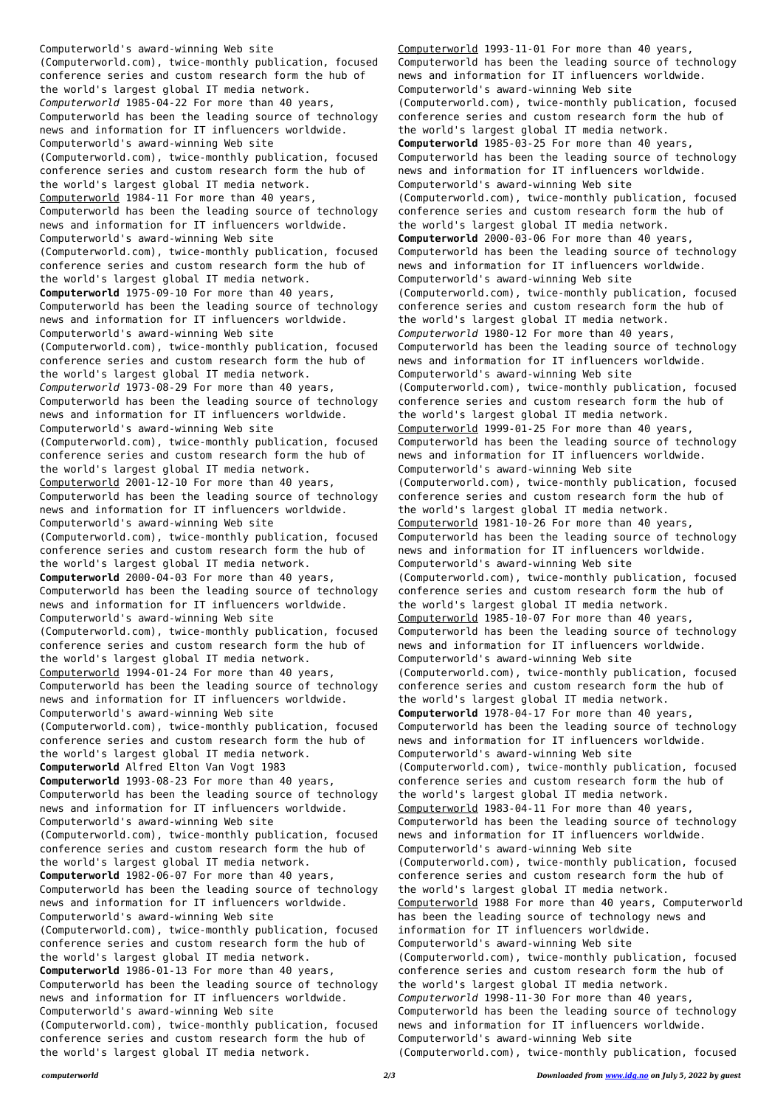Computerworld's award-winning Web site (Computerworld.com), twice-monthly publication, focused conference series and custom research form the hub of the world's largest global IT media network. *Computerworld* 1985-04-22 For more than 40 years, Computerworld has been the leading source of technology news and information for IT influencers worldwide. Computerworld's award-winning Web site (Computerworld.com), twice-monthly publication, focused conference series and custom research form the hub of the world's largest global IT media network. Computerworld 1984-11 For more than 40 years, Computerworld has been the leading source of technology news and information for IT influencers worldwide. Computerworld's award-winning Web site (Computerworld.com), twice-monthly publication, focused conference series and custom research form the hub of the world's largest global IT media network. **Computerworld** 1975-09-10 For more than 40 years, Computerworld has been the leading source of technology news and information for IT influencers worldwide. Computerworld's award-winning Web site (Computerworld.com), twice-monthly publication, focused conference series and custom research form the hub of the world's largest global IT media network. *Computerworld* 1973-08-29 For more than 40 years, Computerworld has been the leading source of technology news and information for IT influencers worldwide. Computerworld's award-winning Web site (Computerworld.com), twice-monthly publication, focused conference series and custom research form the hub of the world's largest global IT media network. Computerworld 2001-12-10 For more than 40 years, Computerworld has been the leading source of technology news and information for IT influencers worldwide. Computerworld's award-winning Web site (Computerworld.com), twice-monthly publication, focused conference series and custom research form the hub of the world's largest global IT media network. **Computerworld** 2000-04-03 For more than 40 years, Computerworld has been the leading source of technology news and information for IT influencers worldwide. Computerworld's award-winning Web site (Computerworld.com), twice-monthly publication, focused conference series and custom research form the hub of the world's largest global IT media network. Computerworld 1994-01-24 For more than 40 years, Computerworld has been the leading source of technology news and information for IT influencers worldwide. Computerworld's award-winning Web site (Computerworld.com), twice-monthly publication, focused conference series and custom research form the hub of the world's largest global IT media network. **Computerworld** Alfred Elton Van Vogt 1983 **Computerworld** 1993-08-23 For more than 40 years, Computerworld has been the leading source of technology news and information for IT influencers worldwide. Computerworld's award-winning Web site (Computerworld.com), twice-monthly publication, focused conference series and custom research form the hub of the world's largest global IT media network. **Computerworld** 1982-06-07 For more than 40 years, Computerworld has been the leading source of technology news and information for IT influencers worldwide. Computerworld's award-winning Web site (Computerworld.com), twice-monthly publication, focused conference series and custom research form the hub of the world's largest global IT media network. **Computerworld** 1986-01-13 For more than 40 years, Computerworld has been the leading source of technology news and information for IT influencers worldwide. Computerworld's award-winning Web site

(Computerworld.com), twice-monthly publication, focused conference series and custom research form the hub of the world's largest global IT media network.

Computerworld 1993-11-01 For more than 40 years, Computerworld has been the leading source of technology news and information for IT influencers worldwide. Computerworld's award-winning Web site (Computerworld.com), twice-monthly publication, focused conference series and custom research form the hub of the world's largest global IT media network. **Computerworld** 1985-03-25 For more than 40 years, Computerworld has been the leading source of technology news and information for IT influencers worldwide. Computerworld's award-winning Web site (Computerworld.com), twice-monthly publication, focused conference series and custom research form the hub of the world's largest global IT media network. **Computerworld** 2000-03-06 For more than 40 years, Computerworld has been the leading source of technology news and information for IT influencers worldwide. Computerworld's award-winning Web site (Computerworld.com), twice-monthly publication, focused conference series and custom research form the hub of the world's largest global IT media network. *Computerworld* 1980-12 For more than 40 years, Computerworld has been the leading source of technology news and information for IT influencers worldwide. Computerworld's award-winning Web site (Computerworld.com), twice-monthly publication, focused conference series and custom research form the hub of the world's largest global IT media network. Computerworld 1999-01-25 For more than 40 years, Computerworld has been the leading source of technology news and information for IT influencers worldwide. Computerworld's award-winning Web site (Computerworld.com), twice-monthly publication, focused conference series and custom research form the hub of the world's largest global IT media network. Computerworld 1981-10-26 For more than 40 years, Computerworld has been the leading source of technology news and information for IT influencers worldwide. Computerworld's award-winning Web site (Computerworld.com), twice-monthly publication, focused conference series and custom research form the hub of the world's largest global IT media network. Computerworld 1985-10-07 For more than 40 years, Computerworld has been the leading source of technology news and information for IT influencers worldwide. Computerworld's award-winning Web site (Computerworld.com), twice-monthly publication, focused conference series and custom research form the hub of the world's largest global IT media network. **Computerworld** 1978-04-17 For more than 40 years, Computerworld has been the leading source of technology news and information for IT influencers worldwide. Computerworld's award-winning Web site (Computerworld.com), twice-monthly publication, focused conference series and custom research form the hub of the world's largest global IT media network. Computerworld 1983-04-11 For more than 40 years, Computerworld has been the leading source of technology news and information for IT influencers worldwide. Computerworld's award-winning Web site (Computerworld.com), twice-monthly publication, focused conference series and custom research form the hub of the world's largest global IT media network. Computerworld 1988 For more than 40 years, Computerworld has been the leading source of technology news and information for IT influencers worldwide. Computerworld's award-winning Web site (Computerworld.com), twice-monthly publication, focused conference series and custom research form the hub of the world's largest global IT media network. *Computerworld* 1998-11-30 For more than 40 years, Computerworld has been the leading source of technology news and information for IT influencers worldwide. Computerworld's award-winning Web site (Computerworld.com), twice-monthly publication, focused